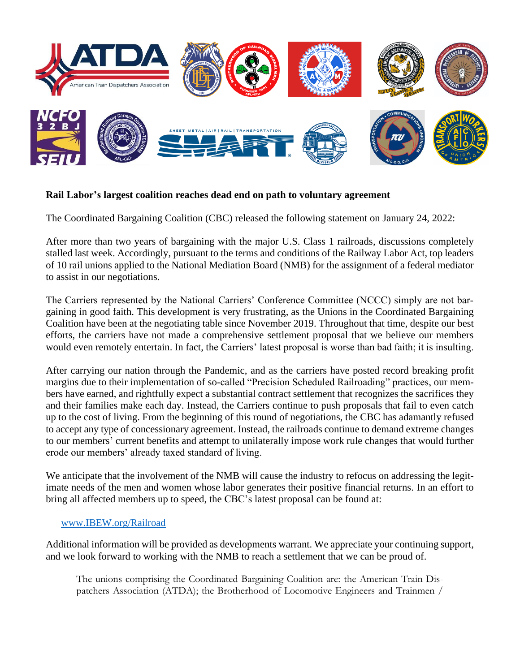

## **Rail Labor's largest coalition reaches dead end on path to voluntary agreement**

The Coordinated Bargaining Coalition (CBC) released the following statement on January 24, 2022:

After more than two years of bargaining with the major U.S. Class 1 railroads, discussions completely stalled last week. Accordingly, pursuant to the terms and conditions of the Railway Labor Act, top leaders of 10 rail unions applied to the National Mediation Board (NMB) for the assignment of a federal mediator to assist in our negotiations.

The Carriers represented by the National Carriers' Conference Committee (NCCC) simply are not bargaining in good faith. This development is very frustrating, as the Unions in the Coordinated Bargaining Coalition have been at the negotiating table since November 2019. Throughout that time, despite our best efforts, the carriers have not made a comprehensive settlement proposal that we believe our members would even remotely entertain. In fact, the Carriers' latest proposal is worse than bad faith; it is insulting.

After carrying our nation through the Pandemic, and as the carriers have posted record breaking profit margins due to their implementation of so-called "Precision Scheduled Railroading" practices, our members have earned, and rightfully expect a substantial contract settlement that recognizes the sacrifices they and their families make each day. Instead, the Carriers continue to push proposals that fail to even catch up to the cost of living. From the beginning of this round of negotiations, the CBC has adamantly refused to accept any type of concessionary agreement. Instead, the railroads continue to demand extreme changes to our members' current benefits and attempt to unilaterally impose work rule changes that would further erode our members' already taxed standard of living.

We anticipate that the involvement of the NMB will cause the industry to refocus on addressing the legitimate needs of the men and women whose labor generates their positive financial returns. In an effort to bring all affected members up to speed, the CBC's latest proposal can be found at:

## [www.IBEW.org/Railroad](http://www.ibew.org/Railroad)

Additional information will be provided as developments warrant. We appreciate your continuing support, and we look forward to working with the NMB to reach a settlement that we can be proud of.

The unions comprising the Coordinated Bargaining Coalition are: the American Train Dispatchers Association (ATDA); the Brotherhood of Locomotive Engineers and Trainmen /